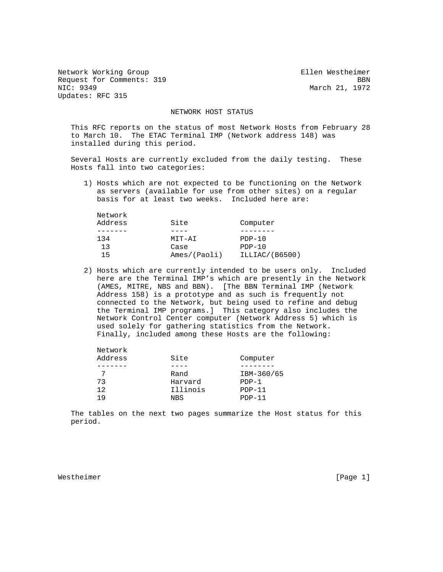Network Working Group Ellen Westheimer Request for Comments: 319 BBN<br>NIC: 9349 BBN Updates: RFC 315

Network

March 21, 1972

## NETWORK HOST STATUS

 This RFC reports on the status of most Network Hosts from February 28 to March 10. The ETAC Terminal IMP (Network address 148) was installed during this period.

 Several Hosts are currently excluded from the daily testing. These Hosts fall into two categories:

 1) Hosts which are not expected to be functioning on the Network as servers (available for use from other sites) on a regular basis for at least two weeks. Included here are:

| Network |              |                |  |  |
|---------|--------------|----------------|--|--|
| Address | Site         | Computer       |  |  |
|         |              |                |  |  |
| 134     | MIT-AI       | $PDF-10$       |  |  |
| 13      | Case         | $PDP-10$       |  |  |
| 15      | Ames/(Paoli) | ILLIAC/(B6500) |  |  |
|         |              |                |  |  |

 2) Hosts which are currently intended to be users only. Included here are the Terminal IMP's which are presently in the Network (AMES, MITRE, NBS and BBN). [The BBN Terminal IMP (Network Address 158) is a prototype and as such is frequently not connected to the Network, but being used to refine and debug the Terminal IMP programs.] This category also includes the Network Control Center computer (Network Address 5) which is used solely for gathering statistics from the Network. Finally, included among these Hosts are the following:

| ------------                |            |
|-----------------------------|------------|
| Site<br>Address<br>Computer |            |
|                             |            |
| Rand                        | IBM-360/65 |
| Harvard<br>73<br>$PDP-1$    |            |
| Illinois<br>12.<br>$PDF-11$ |            |
| $PDP-11$<br>1 Q<br>NBS      |            |

 The tables on the next two pages summarize the Host status for this period.

Westheimer [Page 1]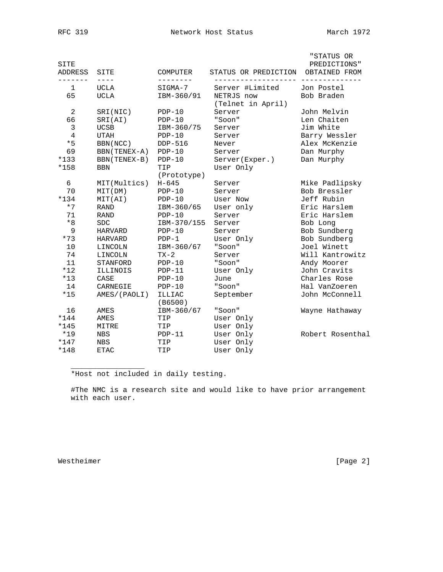| SITE<br>ADDRESS | SITE           | COMPUTER          | STATUS OR PREDICTION            | "STATUS OR<br>PREDICTIONS"<br>OBTAINED FROM |
|-----------------|----------------|-------------------|---------------------------------|---------------------------------------------|
| 1               | <b>UCLA</b>    | SIGMA-7           | Server #Limited                 | Jon Postel                                  |
| 65              | <b>UCLA</b>    | IBM-360/91        | NETRJS now<br>(Telnet in April) | Bob Braden                                  |
| $\overline{2}$  | SRI(NIC)       | $PDP-10$          | Server                          | John Melvin                                 |
| 66              | SRI(AI)        | $PDP-10$          | "Soon"                          | Len Chaiten                                 |
| 3               | <b>UCSB</b>    | IBM-360/75        | Server                          | Jim White                                   |
| 4               | <b>UTAH</b>    | $PDP-10$          | Server                          | Barry Wessler                               |
| $*5$            | BBN (NCC)      | DDP-516           | Never                           | Alex McKenzie                               |
| 69              | BBN (TENEX-A)  | $PDP-10$          | Server                          | Dan Murphy                                  |
| $*133$          | BBN (TENEX-B)  | $PDP-10$          | Server(Exper.)                  | Dan Murphy                                  |
| *158            | <b>BBN</b>     | TIP               | User Only                       |                                             |
|                 |                | (Prototype)       |                                 |                                             |
| 6               | MIT(Multics)   | $H - 645$         | Server                          | Mike Padlipsky                              |
| 70              | MIT(DM)        | $PDP-10$          | Server                          | Bob Bressler                                |
| $*134$          | MIT(AI)        | $PDP-10$          | User Now                        | Jeff Rubin                                  |
| $*7$            | <b>RAND</b>    | IBM-360/65        | User only                       | Eric Harslem                                |
| 71              | <b>RAND</b>    | $PDP-10$          | Server                          | Eric Harslem                                |
| $*8$            | <b>SDC</b>     | IBM-370/155       | Server                          | Bob Long                                    |
| 9               | HARVARD        | $PDP-10$          | Server                          | Bob Sundberg                                |
| $*73$           | <b>HARVARD</b> | $PDP-1$           | User Only                       | Bob Sundberg                                |
| 10              | LINCOLN        | IBM-360/67        | "Soon"                          | Joel Winett                                 |
| 74              | LINCOLN        | $TX-2$            | Server                          | Will Kantrowitz                             |
| 11              | STANFORD       | $PDP-10$          | "Soon"                          | Andy Moorer                                 |
| $*12$           | ILLINOIS       | $PDP-11$          | User Only                       | John Cravits                                |
| $*13$           | CASE           | $PDP-10$          | June                            | Charles Rose                                |
| 14              | CARNEGIE       | $PDP-10$          | "Soon"                          | Hal VanZoeren                               |
| $*15$           | AMES/(PAOLI)   | ILLIAC<br>(B6500) | September                       | John McConnell                              |
| 16              | AMES           | IBM-360/67        | "Soon"                          | Wayne Hathaway                              |
| $*144$          | AMES           | TIP               | User Only                       |                                             |
| $*145$          | MITRE          | TIP               | User Only                       |                                             |
| $*19$           | NBS            | $PDP-11$          | User Only                       | Robert Rosenthal                            |
| $*147$          | <b>NBS</b>     | TIP               | User Only                       |                                             |
| $*148$          | <b>ETAC</b>    | TIP               | User Only                       |                                             |
|                 |                |                   |                                 |                                             |

\*Host not included in daily testing.

 #The NMC is a research site and would like to have prior arrangement with each user.

Westheimer [Page 2]

 $\overline{\phantom{a}}$  ,  $\overline{\phantom{a}}$  ,  $\overline{\phantom{a}}$  ,  $\overline{\phantom{a}}$  ,  $\overline{\phantom{a}}$  ,  $\overline{\phantom{a}}$  ,  $\overline{\phantom{a}}$  ,  $\overline{\phantom{a}}$  ,  $\overline{\phantom{a}}$  ,  $\overline{\phantom{a}}$  ,  $\overline{\phantom{a}}$  ,  $\overline{\phantom{a}}$  ,  $\overline{\phantom{a}}$  ,  $\overline{\phantom{a}}$  ,  $\overline{\phantom{a}}$  ,  $\overline{\phantom{a}}$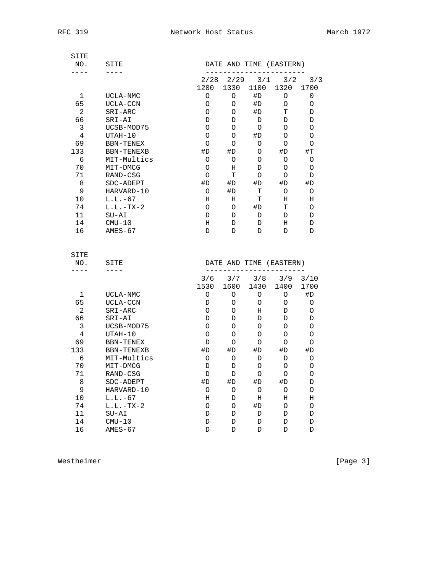| SITE<br>NO.    | SITE                 | DATE AND TIME (EASTERN) |        |        |      |                  |
|----------------|----------------------|-------------------------|--------|--------|------|------------------|
| $- - -$        |                      | 2/28                    | 2/29   | 3/1    | 3/2  | 3/3              |
|                |                      | 1200                    | 1330   | 1100   | 1320 | 1700             |
| 1              | UCLA-NMC             | O                       | O      | #D     | 0    | 0                |
| 65             | UCLA-CCN             | O                       | 0      | #D     | O    | O                |
| $\overline{2}$ | SRI-ARC              | O                       | 0      | #D     | Т    | D                |
| 66             | SRI-AI               | D                       | D      | D      | D    | D                |
| 3              | UCSB-MOD75           | O                       | O      | 0      | O    | O                |
| 4              | UTAH-10              | O                       | O      | #D     | 0    | O                |
| 69             | BBN-TENEX            | O                       | O      | O      | 0    | O                |
| 133            | <b>BBN-TENEXB</b>    | #D                      | #D     | O      | #D   | $\pm \mathrm{T}$ |
| 6              | MIT-Multics          | 0                       | 0      | O      | 0    | O                |
| 70             | MIT-DMCG             | $\circ$                 | Η      | D      | O    | O                |
| 71             | RAND-CSG             | $\circ$                 | т      | O      | O    | D                |
| 8              | SDC-ADEPT            | #D                      | #D     | #D     | #D   | #D               |
| 9              | HARVARD-10           | O                       | #D     | т      | О    | O                |
| 10             | $L.L.-67$            | Η                       | Η      | т      | н    | Η                |
| 74             | $L.L.-TX-2$          | O                       | O      | #D     | т    | O                |
| 11             | $SU-AI$              | D                       | D      | D      | D    | D                |
| 14             | $CMU-10$             | Η                       | D      | D      | н    | D                |
| 16             | $AMES-67$            | D                       | D      | D      | D    | D                |
| SITE           |                      |                         |        |        |      |                  |
| NO.            | SITE                 | DATE AND TIME (EASTERN) |        |        |      |                  |
| $- - - -$      | $- - - -$            |                         |        |        |      |                  |
|                |                      | 3/6                     | 3/7    | 3/8    | 3/9  | 3/10             |
|                |                      | 1530                    | 1600   | 1430   | 1400 | 1700             |
| 1<br>65        | UCLA-NMC             | 0                       | 0      | 0      | 0    | #D               |
| $\overline{a}$ | UCLA-CCN             | D                       | 0      | O      | 0    | 0                |
|                | SRI-ARC              | O                       | O      | Η      | D    | O                |
| 66<br>3        | SRI-AI<br>UCSB-MOD75 | D<br>O                  | D<br>O | D<br>0 | D    | D<br>O           |
|                |                      |                         |        |        | 0    |                  |
| 4              | UTAH-10              | O                       | O      | O      | O    | O                |
| 69             | BBN-TENEX            | D                       | 0      | O      | 0    | O                |
| 133            | BBN-TENEXB           | #D                      | #D     | #D     | #D   | #D               |
| 6              | MIT-Multics          | O                       | O      | D      | D    | O                |
| 70             | MIT-DMCG             | D                       | D      | O      | O    | O                |
| 71             | RAND-CSG             | D                       | D      | 0      | O    | O                |
| 8              | SDC-ADEPT            | #D                      | #D     | #D     | #D   | D                |
| 9              | HARVARD-10           | O                       | O      | O      | O    | $\circ$          |
| $10$           | $L.L.-67$            | Η                       | D      | Η      | Η    | Η                |
| 74             | $L.L.-TX-2$          | $\circ$                 | O      | #D     | O    | $\bigcirc$       |
| 11             | $SU-AI$              | D                       | D      | D      | D    | $\mathbb D$      |
| 14             | $CMU-10$             | D                       | D      | D      | D    | D                |
| 16             | $AMES-67$            | D                       | D      | D      | D    | D                |

Westheimer [Page 3]